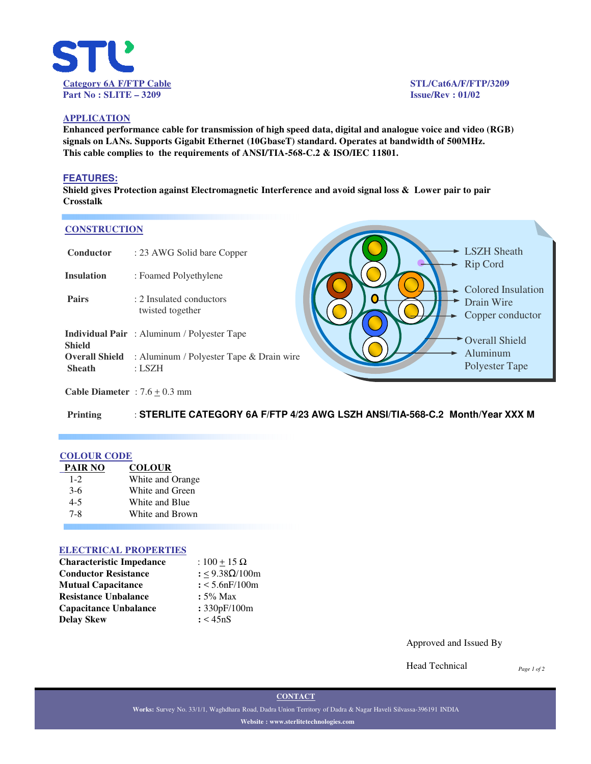

## **APPLICATION**

**Enhanced performance cable for transmission of high speed data, digital and analogue voice and video (RGB) signals on LANs. Supports Gigabit Ethernet (10GbaseT) standard. Operates at bandwidth of 500MHz. This cable complies to the requirements of ANSI/TIA-568-C.2 & ISO/IEC 11801.**

#### **FEATURES:**

**Shield gives Protection against Electromagnetic Interference and avoid signal loss & Lower pair to pair Crosstalk**

#### **CONSTRUCTION**

| Conductor                              | : 23 AWG Solid bare Copper                         |  |  |
|----------------------------------------|----------------------------------------------------|--|--|
| <b>Insulation</b>                      | : Foamed Polyethylene                              |  |  |
| Pairs                                  | : 2 Insulated conductors<br>twisted together       |  |  |
| <b>Shield</b>                          | <b>Individual Pair</b> : Aluminum / Polyester Tape |  |  |
| <b>Overall Shield</b><br><b>Sheath</b> | : Aluminum / Polyester Tape & Drain wire<br>: LSZH |  |  |



**Cable Diameter** :  $7.6 \pm 0.3$  mm

**Printing** : **STERLITE CATEGORY 6A F/FTP 4/23 AWG LSZH ANSI/TIA-568-C.2 Month/Year XXX M**

#### **COLOUR CODE**

| PAIR NO | <b>COLOUR</b>    |
|---------|------------------|
| $1 - 2$ | White and Orange |
| $3-6$   | White and Green  |
| $4 - 5$ | White and Blue   |
| 7-8     | White and Brown  |

#### **ELECTRICAL PROPERTIES**

| <b>Characteristic Impedance</b> | : $100 \pm 15 \Omega$ |
|---------------------------------|-----------------------|
| <b>Conductor Resistance</b>     | : <9.38Ω/100m         |
| <b>Mutual Capacitance</b>       | $: < 5.6$ nF/100m     |
| <b>Resistance Unbalance</b>     | $: 5\%$ Max           |
| <b>Capacitance Unbalance</b>    | : 330pF/100m          |
| <b>Delay Skew</b>               | : < 45nS              |

Approved and Issued By

Head Technical

*Page 1 of 2*

**CONTACT**

**Works:** Survey No. 33/1/1, Waghdhara Road, Dadra Union Territory of Dadra & Nagar Haveli Silvassa-396191 INDIA **Website : www.sterlitetechnologies.com**